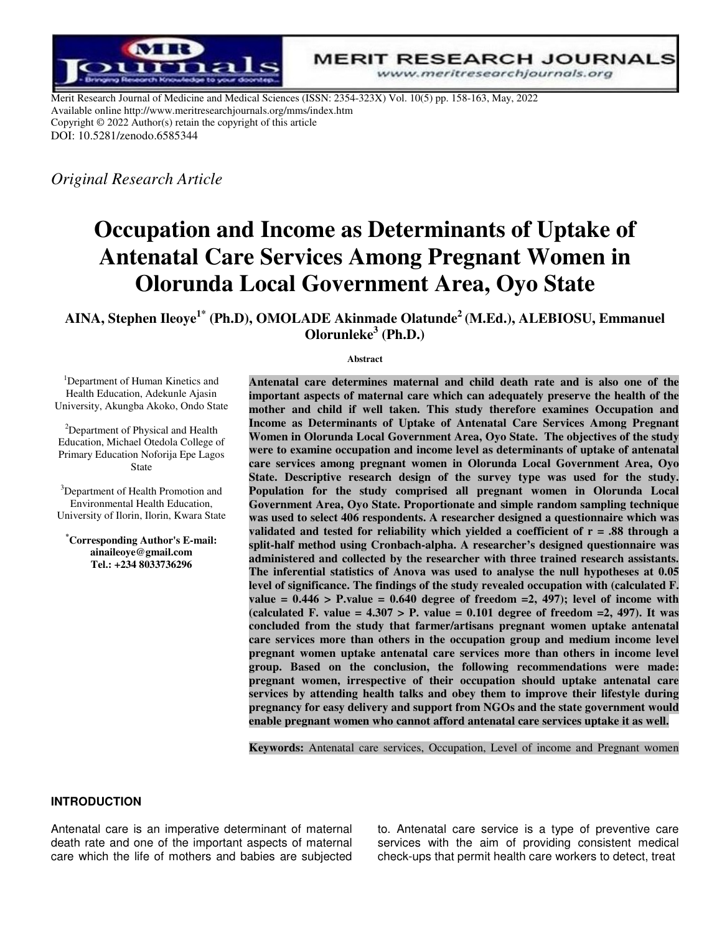

**MERIT RESEARCH JOURNALS** www.meritresearchjournals.org

Merit Research Journal of Medicine and Medical Sciences (ISSN: 2354-323X) Vol. 10(5) pp. 158-163, May, 2022 Available online http://www.meritresearchjournals.org/mms/index.htm Copyright © 2022 Author(s) retain the copyright of this article DOI: 10.5281/zenodo.6585344

*Original Research Article* 

# **Occupation and Income as Determinants of Uptake of Antenatal Care Services Among Pregnant Women in Olorunda Local Government Area, Oyo State**

**AINA, Stephen Ileoye1\* (Ph.D), OMOLADE Akinmade Olatunde<sup>2</sup>(M.Ed.), ALEBIOSU, Emmanuel Olorunleke<sup>3</sup> (Ph.D.)** 

#### **Abstract**

<sup>1</sup>Department of Human Kinetics and Health Education, Adekunle Ajasin University, Akungba Akoko, Ondo State

<sup>2</sup>Department of Physical and Health Education, Michael Otedola College of Primary Education Noforija Epe Lagos State

<sup>3</sup>Department of Health Promotion and Environmental Health Education, University of Ilorin, Ilorin, Kwara State

**\*Corresponding Author's E-mail: ainaileoye@gmail.com Tel.: +234 8033736296** 

**Antenatal care determines maternal and child death rate and is also one of the important aspects of maternal care which can adequately preserve the health of the mother and child if well taken. This study therefore examines Occupation and Income as Determinants of Uptake of Antenatal Care Services Among Pregnant Women in Olorunda Local Government Area, Oyo State. The objectives of the study were to examine occupation and income level as determinants of uptake of antenatal care services among pregnant women in Olorunda Local Government Area, Oyo State. Descriptive research design of the survey type was used for the study. Population for the study comprised all pregnant women in Olorunda Local Government Area, Oyo State. Proportionate and simple random sampling technique was used to select 406 respondents. A researcher designed a questionnaire which was validated and tested for reliability which yielded a coefficient of r = .88 through a split-half method using Cronbach-alpha. A researcher's designed questionnaire was administered and collected by the researcher with three trained research assistants. The inferential statistics of Anova was used to analyse the null hypotheses at 0.05 level of significance. The findings of the study revealed occupation with (calculated F.**   $value = 0.446 > P-value = 0.640$  degree of freedom  $=2$ , 497); level of income with **(calculated F. value = 4.307 > P. value = 0.101 degree of freedom =2, 497). It was concluded from the study that farmer/artisans pregnant women uptake antenatal care services more than others in the occupation group and medium income level pregnant women uptake antenatal care services more than others in income level group. Based on the conclusion, the following recommendations were made: pregnant women, irrespective of their occupation should uptake antenatal care services by attending health talks and obey them to improve their lifestyle during pregnancy for easy delivery and support from NGOs and the state government would enable pregnant women who cannot afford antenatal care services uptake it as well.** 

**Keywords:** Antenatal care services, Occupation, Level of income and Pregnant women

## **INTRODUCTION**

Antenatal care is an imperative determinant of maternal death rate and one of the important aspects of maternal care which the life of mothers and babies are subjected

to. Antenatal care service is a type of preventive care services with the aim of providing consistent medical check-ups that permit health care workers to detect, treat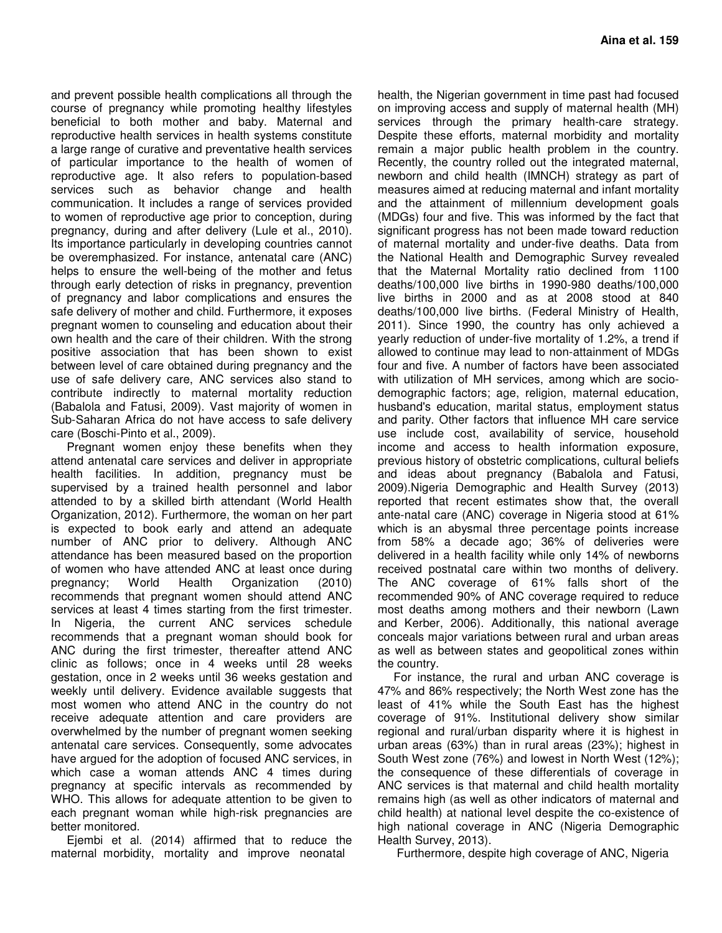and prevent possible health complications all through the course of pregnancy while promoting healthy lifestyles beneficial to both mother and baby. Maternal and reproductive health services in health systems constitute a large range of curative and preventative health services of particular importance to the health of women of reproductive age. It also refers to population-based services such as behavior change and health communication. It includes a range of services provided to women of reproductive age prior to conception, during pregnancy, during and after delivery (Lule et al., 2010). Its importance particularly in developing countries cannot be overemphasized. For instance, antenatal care (ANC) helps to ensure the well-being of the mother and fetus through early detection of risks in pregnancy, prevention of pregnancy and labor complications and ensures the safe delivery of mother and child. Furthermore, it exposes pregnant women to counseling and education about their own health and the care of their children. With the strong positive association that has been shown to exist between level of care obtained during pregnancy and the use of safe delivery care, ANC services also stand to contribute indirectly to maternal mortality reduction (Babalola and Fatusi, 2009). Vast majority of women in Sub-Saharan Africa do not have access to safe delivery care (Boschi-Pinto et al., 2009).

Pregnant women enjoy these benefits when they attend antenatal care services and deliver in appropriate health facilities. In addition, pregnancy must be supervised by a trained health personnel and labor attended to by a skilled birth attendant (World Health Organization, 2012). Furthermore, the woman on her part is expected to book early and attend an adequate number of ANC prior to delivery. Although ANC attendance has been measured based on the proportion of women who have attended ANC at least once during pregnancy; World Health Organization (2010) recommends that pregnant women should attend ANC services at least 4 times starting from the first trimester. In Nigeria, the current ANC services schedule recommends that a pregnant woman should book for ANC during the first trimester, thereafter attend ANC clinic as follows; once in 4 weeks until 28 weeks gestation, once in 2 weeks until 36 weeks gestation and weekly until delivery. Evidence available suggests that most women who attend ANC in the country do not receive adequate attention and care providers are overwhelmed by the number of pregnant women seeking antenatal care services. Consequently, some advocates have argued for the adoption of focused ANC services, in which case a woman attends ANC 4 times during pregnancy at specific intervals as recommended by WHO. This allows for adequate attention to be given to each pregnant woman while high-risk pregnancies are better monitored.

Ejembi et al. (2014) affirmed that to reduce the maternal morbidity, mortality and improve neonatal

health, the Nigerian government in time past had focused on improving access and supply of maternal health (MH) services through the primary health-care strategy. Despite these efforts, maternal morbidity and mortality remain a major public health problem in the country. Recently, the country rolled out the integrated maternal, newborn and child health (IMNCH) strategy as part of measures aimed at reducing maternal and infant mortality and the attainment of millennium development goals (MDGs) four and five. This was informed by the fact that significant progress has not been made toward reduction of maternal mortality and under-five deaths. Data from the National Health and Demographic Survey revealed that the Maternal Mortality ratio declined from 1100 deaths/100,000 live births in 1990-980 deaths/100,000 live births in 2000 and as at 2008 stood at 840 deaths/100,000 live births. (Federal Ministry of Health, 2011). Since 1990, the country has only achieved a yearly reduction of under-five mortality of 1.2%, a trend if allowed to continue may lead to non-attainment of MDGs four and five. A number of factors have been associated with utilization of MH services, among which are sociodemographic factors; age, religion, maternal education, husband's education, marital status, employment status and parity. Other factors that influence MH care service use include cost, availability of service, household income and access to health information exposure, previous history of obstetric complications, cultural beliefs and ideas about pregnancy (Babalola and Fatusi, 2009).Nigeria Demographic and Health Survey (2013) reported that recent estimates show that, the overall ante-natal care (ANC) coverage in Nigeria stood at 61% which is an abysmal three percentage points increase from 58% a decade ago; 36% of deliveries were delivered in a health facility while only 14% of newborns received postnatal care within two months of delivery. The ANC coverage of 61% falls short of the recommended 90% of ANC coverage required to reduce most deaths among mothers and their newborn (Lawn and Kerber, 2006). Additionally, this national average conceals major variations between rural and urban areas as well as between states and geopolitical zones within the country.

For instance, the rural and urban ANC coverage is 47% and 86% respectively; the North West zone has the least of 41% while the South East has the highest coverage of 91%. Institutional delivery show similar regional and rural/urban disparity where it is highest in urban areas (63%) than in rural areas (23%); highest in South West zone (76%) and lowest in North West (12%); the consequence of these differentials of coverage in ANC services is that maternal and child health mortality remains high (as well as other indicators of maternal and child health) at national level despite the co-existence of high national coverage in ANC (Nigeria Demographic Health Survey, 2013).

Furthermore, despite high coverage of ANC, Nigeria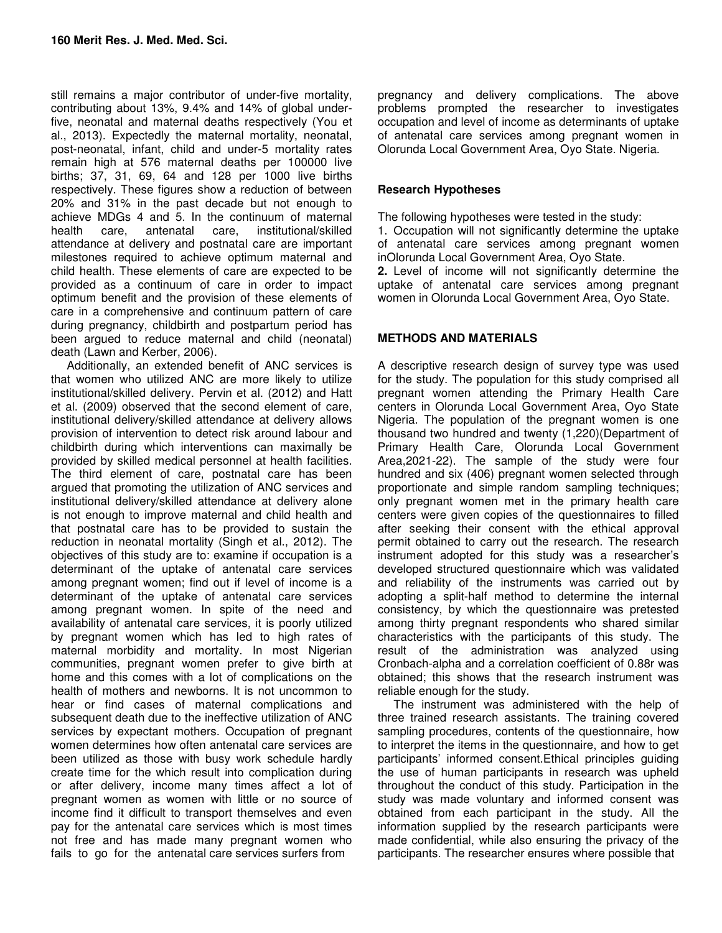still remains a major contributor of under-five mortality, contributing about 13%, 9.4% and 14% of global underfive, neonatal and maternal deaths respectively (You et al., 2013). Expectedly the maternal mortality, neonatal, post-neonatal, infant, child and under-5 mortality rates remain high at 576 maternal deaths per 100000 live births; 37, 31, 69, 64 and 128 per 1000 live births respectively. These figures show a reduction of between 20% and 31% in the past decade but not enough to achieve MDGs 4 and 5. In the continuum of maternal health care, antenatal care, institutional/skilled attendance at delivery and postnatal care are important milestones required to achieve optimum maternal and child health. These elements of care are expected to be provided as a continuum of care in order to impact optimum benefit and the provision of these elements of care in a comprehensive and continuum pattern of care during pregnancy, childbirth and postpartum period has been argued to reduce maternal and child (neonatal) death (Lawn and Kerber, 2006).

Additionally, an extended benefit of ANC services is that women who utilized ANC are more likely to utilize institutional/skilled delivery. Pervin et al. (2012) and Hatt et al. (2009) observed that the second element of care, institutional delivery/skilled attendance at delivery allows provision of intervention to detect risk around labour and childbirth during which interventions can maximally be provided by skilled medical personnel at health facilities. The third element of care, postnatal care has been argued that promoting the utilization of ANC services and institutional delivery/skilled attendance at delivery alone is not enough to improve maternal and child health and that postnatal care has to be provided to sustain the reduction in neonatal mortality (Singh et al., 2012). The objectives of this study are to: examine if occupation is a determinant of the uptake of antenatal care services among pregnant women; find out if level of income is a determinant of the uptake of antenatal care services among pregnant women. In spite of the need and availability of antenatal care services, it is poorly utilized by pregnant women which has led to high rates of maternal morbidity and mortality. In most Nigerian communities, pregnant women prefer to give birth at home and this comes with a lot of complications on the health of mothers and newborns. It is not uncommon to hear or find cases of maternal complications and subsequent death due to the ineffective utilization of ANC services by expectant mothers. Occupation of pregnant women determines how often antenatal care services are been utilized as those with busy work schedule hardly create time for the which result into complication during or after delivery, income many times affect a lot of pregnant women as women with little or no source of income find it difficult to transport themselves and even pay for the antenatal care services which is most times not free and has made many pregnant women who fails to go for the antenatal care services surfers from

pregnancy and delivery complications. The above problems prompted the researcher to investigates occupation and level of income as determinants of uptake of antenatal care services among pregnant women in Olorunda Local Government Area, Oyo State. Nigeria.

# **Research Hypotheses**

The following hypotheses were tested in the study:

1. Occupation will not significantly determine the uptake of antenatal care services among pregnant women inOlorunda Local Government Area, Oyo State.

**2.** Level of income will not significantly determine the uptake of antenatal care services among pregnant women in Olorunda Local Government Area, Oyo State.

# **METHODS AND MATERIALS**

A descriptive research design of survey type was used for the study. The population for this study comprised all pregnant women attending the Primary Health Care centers in Olorunda Local Government Area, Oyo State Nigeria. The population of the pregnant women is one thousand two hundred and twenty (1,220)(Department of Primary Health Care, Olorunda Local Government Area,2021-22). The sample of the study were four hundred and six (406) pregnant women selected through proportionate and simple random sampling techniques; only pregnant women met in the primary health care centers were given copies of the questionnaires to filled after seeking their consent with the ethical approval permit obtained to carry out the research. The research instrument adopted for this study was a researcher's developed structured questionnaire which was validated and reliability of the instruments was carried out by adopting a split-half method to determine the internal consistency, by which the questionnaire was pretested among thirty pregnant respondents who shared similar characteristics with the participants of this study. The result of the administration was analyzed using Cronbach-alpha and a correlation coefficient of 0.88r was obtained; this shows that the research instrument was reliable enough for the study.

The instrument was administered with the help of three trained research assistants. The training covered sampling procedures, contents of the questionnaire, how to interpret the items in the questionnaire, and how to get participants' informed consent.Ethical principles guiding the use of human participants in research was upheld throughout the conduct of this study. Participation in the study was made voluntary and informed consent was obtained from each participant in the study. All the information supplied by the research participants were made confidential, while also ensuring the privacy of the participants. The researcher ensures where possible that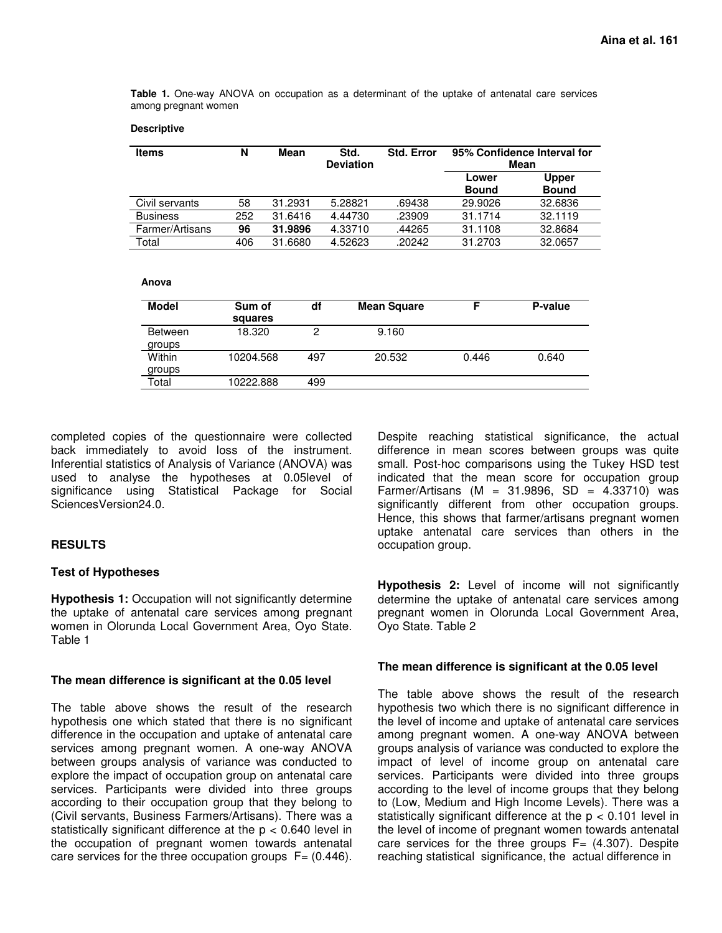**Table 1.** One-way ANOVA on occupation as a determinant of the uptake of antenatal care services among pregnant women

#### **Descriptive**

| <b>Items</b>    | N   | Mean    | Std.<br><b>Deviation</b> | <b>Std. Error</b> | 95% Confidence Interval for<br>Mean |                              |
|-----------------|-----|---------|--------------------------|-------------------|-------------------------------------|------------------------------|
|                 |     |         |                          |                   | Lower<br><b>Bound</b>               | <b>Upper</b><br><b>Bound</b> |
| Civil servants  | 58  | 31.2931 | 5.28821                  | .69438            | 29.9026                             | 32.6836                      |
| <b>Business</b> | 252 | 31.6416 | 4.44730                  | .23909            | 31.1714                             | 32.1119                      |
| Farmer/Artisans | 96  | 31.9896 | 4.33710                  | .44265            | 31.1108                             | 32.8684                      |
| Total           | 406 | 31.6680 | 4.52623                  | .20242            | 31.2703                             | 32.0657                      |

#### **Anova**

| <b>Model</b>             | Sum of<br>squares | df  | <b>Mean Square</b> |       | P-value |
|--------------------------|-------------------|-----|--------------------|-------|---------|
| <b>Between</b><br>groups | 18.320            | 2   | 9.160              |       |         |
| Within<br>groups         | 10204.568         | 497 | 20.532             | 0.446 | 0.640   |
| Total                    | 10222.888         | 499 |                    |       |         |

completed copies of the questionnaire were collected back immediately to avoid loss of the instrument. Inferential statistics of Analysis of Variance (ANOVA) was used to analyse the hypotheses at 0.05level of significance using Statistical Package for Social SciencesVersion24.0.

# **RESULTS**

#### **Test of Hypotheses**

**Hypothesis 1:** Occupation will not significantly determine the uptake of antenatal care services among pregnant women in Olorunda Local Government Area, Oyo State. Table 1

#### **The mean difference is significant at the 0.05 level**

The table above shows the result of the research hypothesis one which stated that there is no significant difference in the occupation and uptake of antenatal care services among pregnant women. A one-way ANOVA between groups analysis of variance was conducted to explore the impact of occupation group on antenatal care services. Participants were divided into three groups according to their occupation group that they belong to (Civil servants, Business Farmers/Artisans). There was a statistically significant difference at the  $p < 0.640$  level in the occupation of pregnant women towards antenatal care services for the three occupation groups  $F = (0.446)$ .

Despite reaching statistical significance, the actual difference in mean scores between groups was quite small. Post-hoc comparisons using the Tukey HSD test indicated that the mean score for occupation group Farmer/Artisans (M = 31.9896, SD =  $4.33710$ ) was significantly different from other occupation groups. Hence, this shows that farmer/artisans pregnant women uptake antenatal care services than others in the occupation group.

**Hypothesis 2:** Level of income will not significantly determine the uptake of antenatal care services among pregnant women in Olorunda Local Government Area, Oyo State. Table 2

## **The mean difference is significant at the 0.05 level**

The table above shows the result of the research hypothesis two which there is no significant difference in the level of income and uptake of antenatal care services among pregnant women. A one-way ANOVA between groups analysis of variance was conducted to explore the impact of level of income group on antenatal care services. Participants were divided into three groups according to the level of income groups that they belong to (Low, Medium and High Income Levels). There was a statistically significant difference at the  $p < 0.101$  level in the level of income of pregnant women towards antenatal care services for the three groups  $F = (4.307)$ . Despite reaching statistical significance, the actual difference in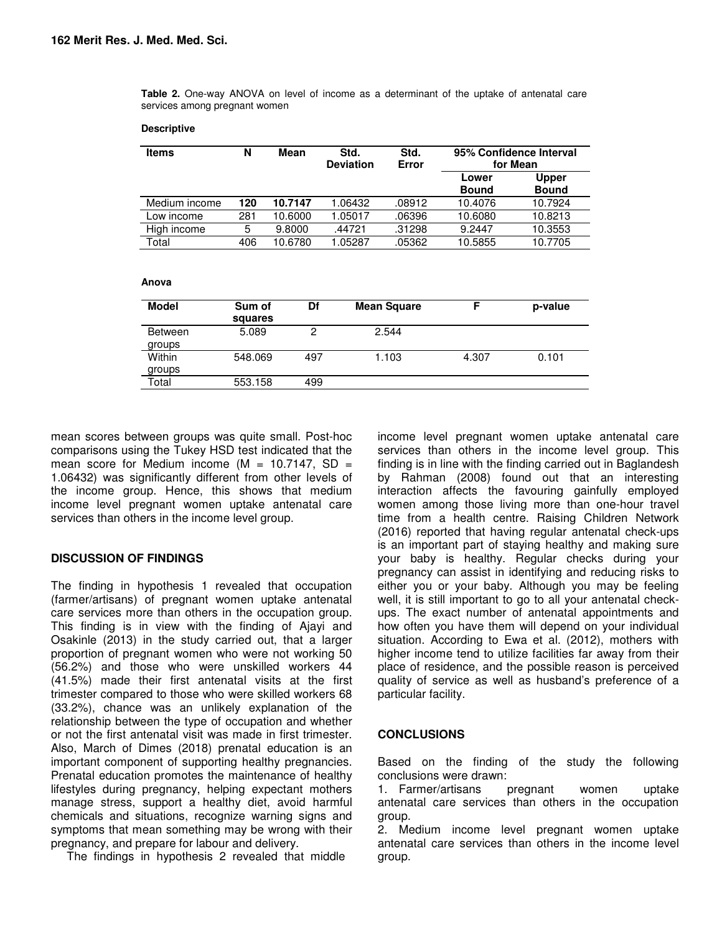**Table 2.** One-way ANOVA on level of income as a determinant of the uptake of antenatal care services among pregnant women

#### **Descriptive**

| <b>Items</b>  | N   | Mean    | Std.<br><b>Deviation</b> | Std.<br>Error | 95% Confidence Interval<br>for Mean |                              |
|---------------|-----|---------|--------------------------|---------------|-------------------------------------|------------------------------|
|               |     |         |                          |               | Lower<br><b>Bound</b>               | <b>Upper</b><br><b>Bound</b> |
| Medium income | 120 | 10.7147 | .06432                   | .08912        | 10.4076                             | 10.7924                      |
| Low income    | 281 | 10.6000 | 1.05017                  | .06396        | 10.6080                             | 10.8213                      |
| High income   | 5   | 9.8000  | .44721                   | .31298        | 9.2447                              | 10.3553                      |
| Total         | 406 | 10.6780 | .05287                   | .05362        | 10.5855                             | 10.7705                      |

#### **Anova**

| Model                    | Sum of<br>squares | Df  | <b>Mean Square</b> |       | p-value |
|--------------------------|-------------------|-----|--------------------|-------|---------|
| <b>Between</b><br>groups | 5.089             | 0   | 2.544              |       |         |
| Within<br>groups         | 548.069           | 497 | 1.103              | 4.307 | 0.101   |
| Total                    | 553.158           | 499 |                    |       |         |

mean scores between groups was quite small. Post-hoc comparisons using the Tukey HSD test indicated that the mean score for Medium income ( $M = 10.7147$ , SD = 1.06432) was significantly different from other levels of the income group. Hence, this shows that medium income level pregnant women uptake antenatal care services than others in the income level group.

## **DISCUSSION OF FINDINGS**

The finding in hypothesis 1 revealed that occupation (farmer/artisans) of pregnant women uptake antenatal care services more than others in the occupation group. This finding is in view with the finding of Ajayi and Osakinle (2013) in the study carried out, that a larger proportion of pregnant women who were not working 50 (56.2%) and those who were unskilled workers 44 (41.5%) made their first antenatal visits at the first trimester compared to those who were skilled workers 68 (33.2%), chance was an unlikely explanation of the relationship between the type of occupation and whether or not the first antenatal visit was made in first trimester. Also, March of Dimes (2018) prenatal education is an important component of supporting healthy pregnancies. Prenatal education promotes the maintenance of healthy lifestyles during pregnancy, helping expectant mothers manage stress, support a healthy diet, avoid harmful chemicals and situations, recognize warning signs and symptoms that mean something may be wrong with their pregnancy, and prepare for labour and delivery.

The findings in hypothesis 2 revealed that middle

income level pregnant women uptake antenatal care services than others in the income level group. This finding is in line with the finding carried out in Baglandesh by Rahman (2008) found out that an interesting interaction affects the favouring gainfully employed women among those living more than one-hour travel time from a health centre. Raising Children Network (2016) reported that having regular antenatal check-ups is an important part of staying healthy and making sure your baby is healthy. Regular checks during your pregnancy can assist in identifying and reducing risks to either you or your baby. Although you may be feeling well, it is still important to go to all your antenatal checkups. The exact number of antenatal appointments and how often you have them will depend on your individual situation. According to Ewa et al. (2012), mothers with higher income tend to utilize facilities far away from their place of residence, and the possible reason is perceived quality of service as well as husband's preference of a particular facility.

## **CONCLUSIONS**

Based on the finding of the study the following conclusions were drawn:

1. Farmer/artisans pregnant women uptake antenatal care services than others in the occupation group.

2. Medium income level pregnant women uptake antenatal care services than others in the income level group.